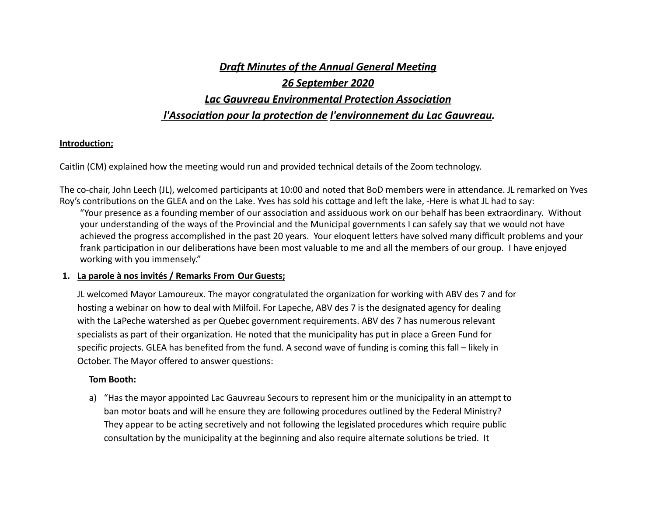# *<u>Draft Minutes of the Annual General Meeting</u> 26 September 2020 Lac Gauvreau Environmental Protection Association*

# *l'Association pour la protection de l'environnement du Lac Gauvreau.*

# **Introduction;**

Caitlin (CM) explained how the meeting would run and provided technical details of the Zoom technology.

The co-chair, John Leech (JL), welcomed participants at 10:00 and noted that BoD members were in attendance. JL remarked on Yves Roy's contributions on the GLEA and on the Lake. Yves has sold his cottage and left the lake, -Here is what JL had to say: "Your presence as a founding member of our association and assiduous work on our behalf has been extraordinary. Without your understanding of the ways of the Provincial and the Municipal governments I can safely say that we would not have achieved the progress accomplished in the past 20 years. Your eloquent letters have solved many difficult problems and your frank participation in our deliberations have been most valuable to me and all the members of our group. I have enjoyed working with you immensely."

# **1. La parole à nos invités / Remarks From OurGuests;**

JL welcomed Mayor Lamoureux. The mayor congratulated the organization for working with ABV des 7 and for hosting a webinar on how to deal with Milfoil. For Lapeche, ABV des 7 is the designated agency for dealing with the LaPeche watershed as per Quebec government requirements. ABV des 7 has numerous relevant specialists as part of their organization. He noted that the municipality has put in place a Green Fund for specific projects. GLEA has benefited from the fund. A second wave of funding is coming this fall – likely in October. The Mayor offered to answer questions:

# **Tom Booth:**

a) "Has the mayor appointed Lac Gauvreau Secours to represent him or the municipality in an attempt to ban motor boats and will he ensure they are following procedures outlined by the Federal Ministry? They appear to be acting secretively and not following the legislated procedures which require public consultation by the municipality at the beginning and also require alternate solutions be tried. It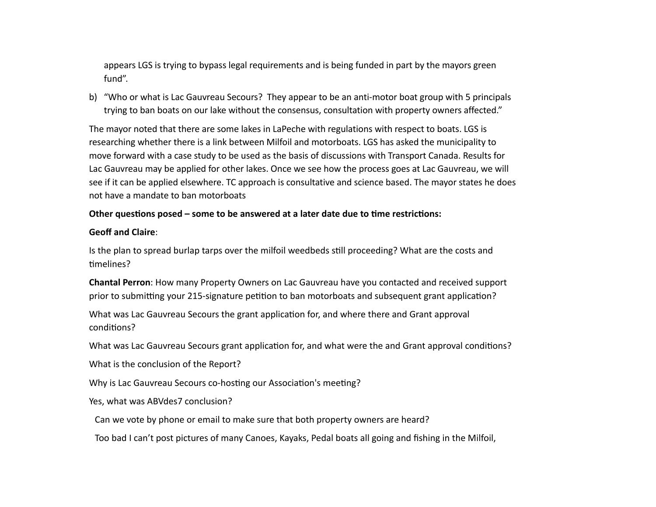appears LGS is trying to bypass legal requirements and is being funded in part by the mayors green fund". 

b) "Who or what is Lac Gauvreau Secours? They appear to be an anti-motor boat group with 5 principals trying to ban boats on our lake without the consensus, consultation with property owners affected."

The mayor noted that there are some lakes in LaPeche with regulations with respect to boats. LGS is researching whether there is a link between Milfoil and motorboats. LGS has asked the municipality to move forward with a case study to be used as the basis of discussions with Transport Canada. Results for Lac Gauvreau may be applied for other lakes. Once we see how the process goes at Lac Gauvreau, we will see if it can be applied elsewhere. TC approach is consultative and science based. The mayor states he does not have a mandate to ban motorboats

# Other questions posed – some to be answered at a later date due to time restrictions:

# Geoff and Claire:

Is the plan to spread burlap tarps over the milfoil weedbeds still proceeding? What are the costs and timelines?

**Chantal Perron:** How many Property Owners on Lac Gauvreau have you contacted and received support prior to submitting your 215-signature petition to ban motorboats and subsequent grant application?

What was Lac Gauvreau Secours the grant application for, and where there and Grant approval conditions?

What was Lac Gauvreau Secours grant application for, and what were the and Grant approval conditions?

What is the conclusion of the Report?

Why is Lac Gauvreau Secours co-hosting our Association's meeting?

Yes, what was ABVdes7 conclusion?

Can we vote by phone or email to make sure that both property owners are heard?

Too bad I can't post pictures of many Canoes, Kayaks, Pedal boats all going and fishing in the Milfoil,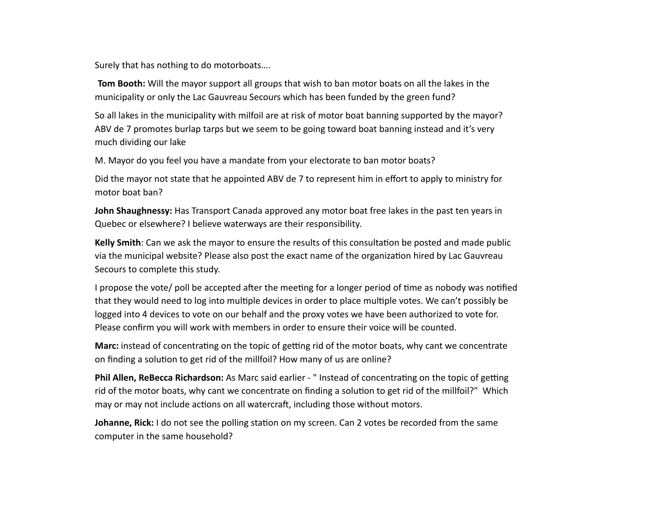Surely that has nothing to do motorboats....

**Tom Booth:** Will the mayor support all groups that wish to ban motor boats on all the lakes in the municipality or only the Lac Gauvreau Secours which has been funded by the green fund?

So all lakes in the municipality with milfoil are at risk of motor boat banning supported by the mayor? ABV de 7 promotes burlap tarps but we seem to be going toward boat banning instead and it's very much dividing our lake

M. Mayor do you feel you have a mandate from your electorate to ban motor boats?

Did the mayor not state that he appointed ABV de 7 to represent him in effort to apply to ministry for motor boat ban?

**John Shaughnessy:** Has Transport Canada approved any motor boat free lakes in the past ten years in Quebec or elsewhere? I believe waterways are their responsibility.

**Kelly Smith**: Can we ask the mayor to ensure the results of this consultation be posted and made public via the municipal website? Please also post the exact name of the organization hired by Lac Gauvreau Secours to complete this study.

I propose the vote/ poll be accepted after the meeting for a longer period of time as nobody was notified that they would need to log into multiple devices in order to place multiple votes. We can't possibly be logged into 4 devices to vote on our behalf and the proxy votes we have been authorized to vote for. Please confirm you will work with members in order to ensure their voice will be counted.

**Marc:** instead of concentrating on the topic of getting rid of the motor boats, why cant we concentrate on finding a solution to get rid of the millfoil? How many of us are online?

**Phil Allen, ReBecca Richardson:** As Marc said earlier - " Instead of concentrating on the topic of getting rid of the motor boats, why cant we concentrate on finding a solution to get rid of the millfoil?" Which may or may not include actions on all watercraft, including those without motors.

**Johanne, Rick:** I do not see the polling station on my screen. Can 2 votes be recorded from the same computer in the same household?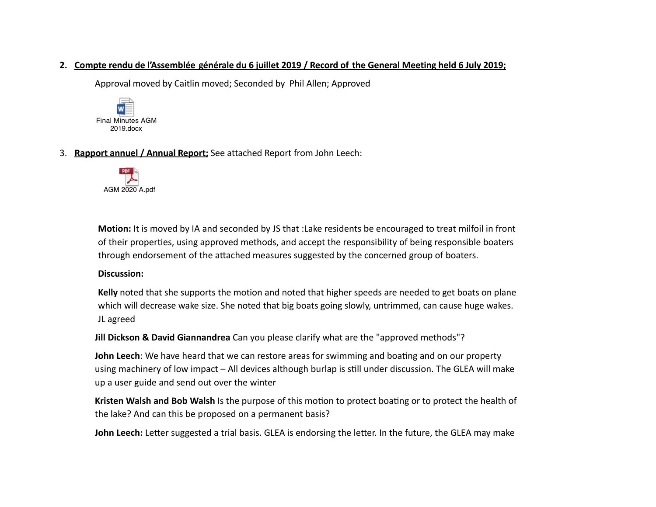# 2. Compte rendu de l'Assemblée générale du 6 juillet 2019 / Record of the General Meeting held 6 July 2019;

Approval moved by Caitlin moved; Seconded by Phil Allen; Approved



3. Rapport annuel / Annual Report; See attached Report from John Leech:



**Motion:** It is moved by IA and seconded by JS that :Lake residents be encouraged to treat milfoil in front of their properties, using approved methods, and accept the responsibility of being responsible boaters through endorsement of the attached measures suggested by the concerned group of boaters.

# **Discussion:**

Kelly noted that she supports the motion and noted that higher speeds are needed to get boats on plane which will decrease wake size. She noted that big boats going slowly, untrimmed, can cause huge wakes. JL agreed

**Jill Dickson & David Giannandrea** Can you please clarify what are the "approved methods"?

**John Leech**: We have heard that we can restore areas for swimming and boating and on our property using machinery of low impact – All devices although burlap is still under discussion. The GLEA will make up a user guide and send out over the winter

**Kristen Walsh and Bob Walsh** Is the purpose of this motion to protect boating or to protect the health of the lake? And can this be proposed on a permanent basis?

**John Leech:** Letter suggested a trial basis. GLEA is endorsing the letter. In the future, the GLEA may make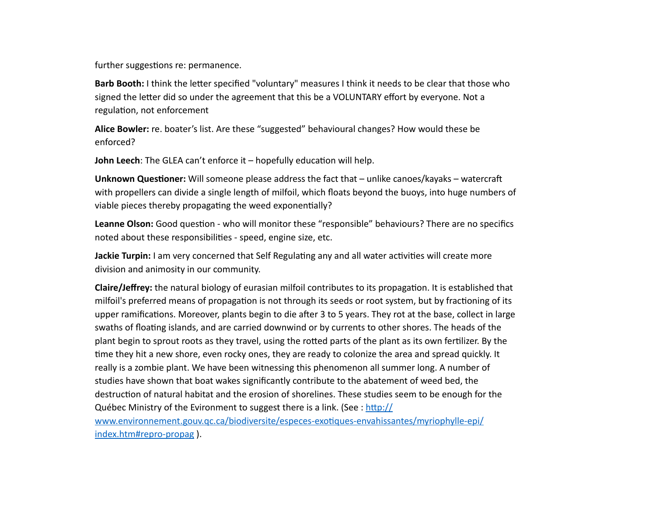further suggestions re: permanence.

**Barb Booth:** I think the letter specified "voluntary" measures I think it needs to be clear that those who signed the letter did so under the agreement that this be a VOLUNTARY effort by everyone. Not a regulation, not enforcement

**Alice Bowler:** re. boater's list. Are these "suggested" behavioural changes? How would these be enforced?

**John Leech:** The GLEA can't enforce it – hopefully education will help.

**Unknown Questioner:** Will someone please address the fact that – unlike canoes/kayaks – watercraft with propellers can divide a single length of milfoil, which floats beyond the buoys, into huge numbers of viable pieces thereby propagating the weed exponentially?

**Leanne Olson:** Good question - who will monitor these "responsible" behaviours? There are no specifics noted about these responsibilities - speed, engine size, etc.

**Jackie Turpin:** I am very concerned that Self Regulating any and all water activities will create more division and animosity in our community.

**Claire/Jeffrey:** the natural biology of eurasian milfoil contributes to its propagation. It is established that milfoil's preferred means of propagation is not through its seeds or root system, but by fractioning of its upper ramifications. Moreover, plants begin to die after 3 to 5 years. They rot at the base, collect in large swaths of floating islands, and are carried downwind or by currents to other shores. The heads of the plant begin to sprout roots as they travel, using the rotted parts of the plant as its own fertilizer. By the time they hit a new shore, even rocky ones, they are ready to colonize the area and spread quickly. It really is a zombie plant. We have been witnessing this phenomenon all summer long. A number of studies have shown that boat wakes significantly contribute to the abatement of weed bed, the destruction of natural habitat and the erosion of shorelines. These studies seem to be enough for the Québec Ministry of the Evironment to suggest there is a link. (See : http:// [www.environnement.gouv.qc.ca/biodiversite/especes-exotiques-envahissantes/myriophylle-epi/](http://www.environnement.gouv.qc.ca/biodiversite/especes-exotiques-envahissantes/myriophylle-epi/index.htm#repro-propag) [index.htm#repro-propag](http://www.environnement.gouv.qc.ca/biodiversite/especes-exotiques-envahissantes/myriophylle-epi/index.htm#repro-propag)).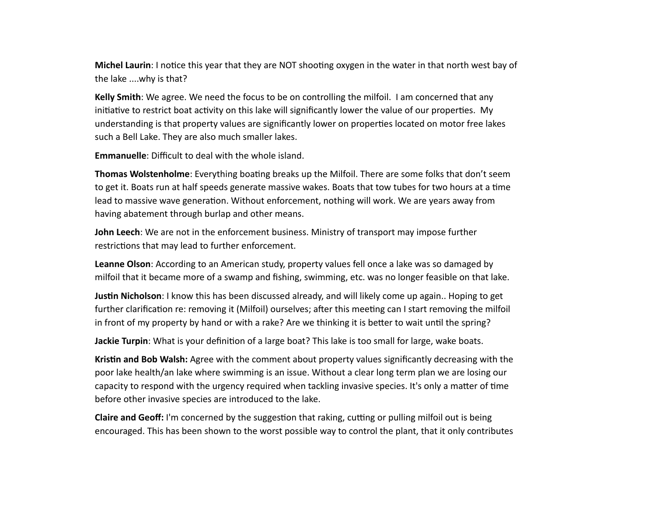**Michel Laurin:** I notice this year that they are NOT shooting oxygen in the water in that north west bay of the lake ....why is that?

**Kelly Smith**: We agree. We need the focus to be on controlling the milfoil. I am concerned that any initiative to restrict boat activity on this lake will significantly lower the value of our properties. My understanding is that property values are significantly lower on properties located on motor free lakes such a Bell Lake. They are also much smaller lakes.

**Emmanuelle:** Difficult to deal with the whole island.

**Thomas Wolstenholme**: Everything boating breaks up the Milfoil. There are some folks that don't seem to get it. Boats run at half speeds generate massive wakes. Boats that tow tubes for two hours at a time lead to massive wave generation. Without enforcement, nothing will work. We are years away from having abatement through burlap and other means.

**John Leech**: We are not in the enforcement business. Ministry of transport may impose further restrictions that may lead to further enforcement.

**Leanne Olson**: According to an American study, property values fell once a lake was so damaged by milfoil that it became more of a swamp and fishing, swimming, etc. was no longer feasible on that lake.

**Justin Nicholson**: I know this has been discussed already, and will likely come up again.. Hoping to get further clarification re: removing it (Milfoil) ourselves; after this meeting can I start removing the milfoil in front of my property by hand or with a rake? Are we thinking it is better to wait until the spring?

**Jackie Turpin**: What is your definition of a large boat? This lake is too small for large, wake boats.

Kristin and Bob Walsh: Agree with the comment about property values significantly decreasing with the poor lake health/an lake where swimming is an issue. Without a clear long term plan we are losing our capacity to respond with the urgency required when tackling invasive species. It's only a matter of time before other invasive species are introduced to the lake.

**Claire and Geoff:** I'm concerned by the suggestion that raking, cutting or pulling milfoil out is being encouraged. This has been shown to the worst possible way to control the plant, that it only contributes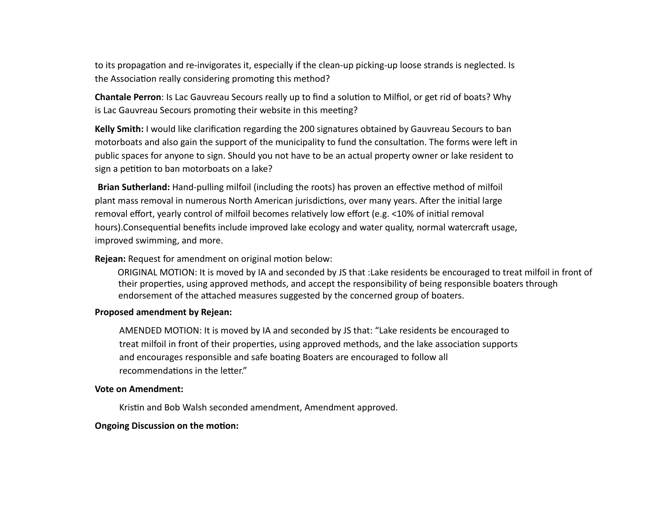to its propagation and re-invigorates it, especially if the clean-up picking-up loose strands is neglected. Is the Association really considering promoting this method?

**Chantale Perron**: Is Lac Gauvreau Secours really up to find a solution to Milfiol, or get rid of boats? Why is Lac Gauvreau Secours promoting their website in this meeting?

**Kelly Smith:** I would like clarification regarding the 200 signatures obtained by Gauvreau Secours to ban motorboats and also gain the support of the municipality to fund the consultation. The forms were left in public spaces for anyone to sign. Should you not have to be an actual property owner or lake resident to sign a petition to ban motorboats on a lake?

**Brian Sutherland:** Hand-pulling milfoil (including the roots) has proven an effective method of milfoil plant mass removal in numerous North American jurisdictions, over many years. After the initial large removal effort, yearly control of milfoil becomes relatively low effort (e.g. <10% of initial removal hours).Consequential benefits include improved lake ecology and water quality, normal watercraft usage, improved swimming, and more.

### **Rejean:** Request for amendment on original motion below:

ORIGINAL MOTION: It is moved by IA and seconded by JS that :Lake residents be encouraged to treat milfoil in front of their properties, using approved methods, and accept the responsibility of being responsible boaters through endorsement of the attached measures suggested by the concerned group of boaters.

### **Proposed amendment by Rejean:**

AMENDED MOTION: It is moved by IA and seconded by JS that: "Lake residents be encouraged to treat milfoil in front of their properties, using approved methods, and the lake association supports and encourages responsible and safe boating Boaters are encouraged to follow all recommendations in the letter."

#### **Vote on Amendment:**

Kristin and Bob Walsh seconded amendment, Amendment approved.

### **Ongoing Discussion on the motion:**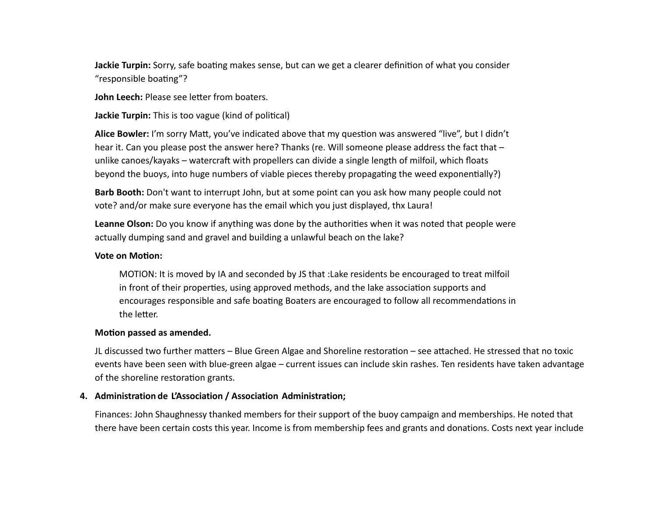**Jackie Turpin:** Sorry, safe boating makes sense, but can we get a clearer definition of what you consider "responsible boating"?

**John Leech:** Please see letter from boaters.

**Jackie Turpin:** This is too vague (kind of political)

Alice Bowler: I'm sorry Matt, you've indicated above that my question was answered "live", but I didn't hear it. Can you please post the answer here? Thanks (re. Will someone please address the fact that unlike canoes/kayaks – watercraft with propellers can divide a single length of milfoil, which floats beyond the buoys, into huge numbers of viable pieces thereby propagating the weed exponentially?)

**Barb Booth:** Don't want to interrupt John, but at some point can you ask how many people could not vote? and/or make sure everyone has the email which you just displayed, thx Laura!

**Leanne Olson:** Do you know if anything was done by the authorities when it was noted that people were actually dumping sand and gravel and building a unlawful beach on the lake?

# **Vote on Motion:**

MOTION: It is moved by IA and seconded by JS that :Lake residents be encouraged to treat milfoil in front of their properties, using approved methods, and the lake association supports and encourages responsible and safe boating Boaters are encouraged to follow all recommendations in the letter.

# **Motion passed as amended.**

JL discussed two further matters – Blue Green Algae and Shoreline restoration – see attached. He stressed that no toxic events have been seen with blue-green algae – current issues can include skin rashes. Ten residents have taken advantage of the shoreline restoration grants.

# **4. Administration de L'Association / Association Administration;**

Finances: John Shaughnessy thanked members for their support of the buoy campaign and memberships. He noted that there have been certain costs this year. Income is from membership fees and grants and donations. Costs next year include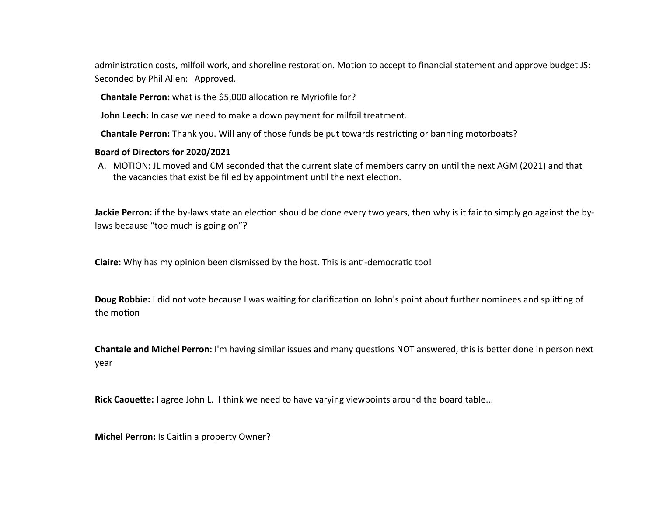administration costs, milfoil work, and shoreline restoration. Motion to accept to financial statement and approve budget JS: Seconded by Phil Allen: Approved.

**Chantale Perron:** what is the \$5,000 allocation re Myriofile for?

**John Leech:** In case we need to make a down payment for milfoil treatment.

**Chantale Perron:** Thank you. Will any of those funds be put towards restricting or banning motorboats?

# **Board of Directors for 2020/2021**

A. MOTION: JL moved and CM seconded that the current slate of members carry on until the next AGM (2021) and that the vacancies that exist be filled by appointment until the next election.

**Jackie Perron:** if the by-laws state an election should be done every two years, then why is it fair to simply go against the bylaws because "too much is going on"?

**Claire:** Why has my opinion been dismissed by the host. This is anti-democratic too!

**Doug Robbie:** I did not vote because I was waiting for clarification on John's point about further nominees and splitting of the motion

**Chantale and Michel Perron:** I'm having similar issues and many questions NOT answered, this is better done in person next year

**Rick Caouette:** I agree John L. I think we need to have varying viewpoints around the board table...

**Michel Perron:** Is Caitlin a property Owner?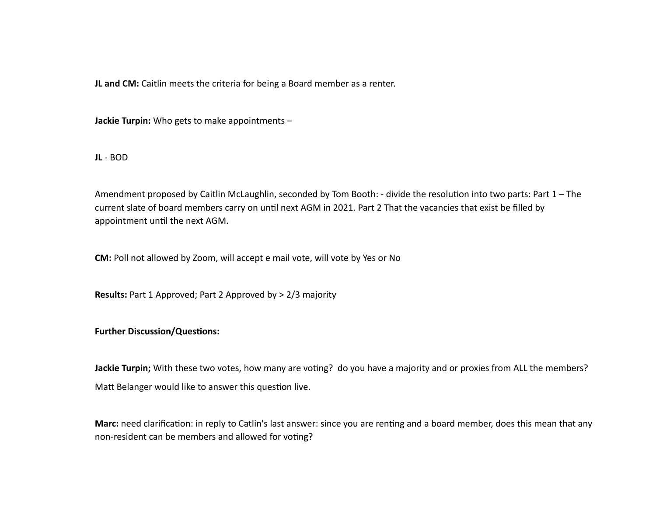**JL** and CM: Caitlin meets the criteria for being a Board member as a renter.

**Jackie Turpin:** Who gets to make appointments -

**JL** - BOD

Amendment proposed by Caitlin McLaughlin, seconded by Tom Booth: - divide the resolution into two parts: Part  $1$  – The current slate of board members carry on until next AGM in 2021. Part 2 That the vacancies that exist be filled by appointment until the next AGM.

**CM:** Poll not allowed by Zoom, will accept e mail vote, will vote by Yes or No

**Results:** Part 1 Approved; Part 2 Approved by > 2/3 majority

### **Further Discussion/Questions:**

**Jackie Turpin;** With these two votes, how many are voting? do you have a majority and or proxies from ALL the members? Matt Belanger would like to answer this question live.

**Marc:** need clarification: in reply to Catlin's last answer: since you are renting and a board member, does this mean that any non-resident can be members and allowed for voting?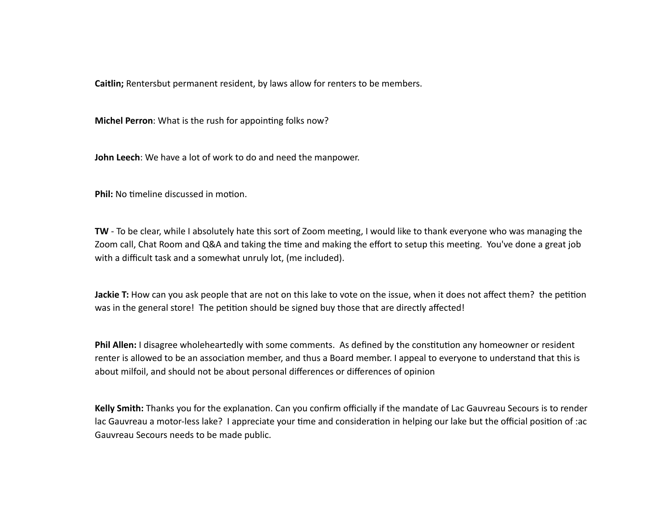**Caitlin;** Rentersbut permanent resident, by laws allow for renters to be members.

**Michel Perron:** What is the rush for appointing folks now?

**John Leech**: We have a lot of work to do and need the manpower.

**Phil:** No timeline discussed in motion.

**TW** - To be clear, while I absolutely hate this sort of Zoom meeting, I would like to thank everyone who was managing the Zoom call, Chat Room and Q&A and taking the time and making the effort to setup this meeting. You've done a great job with a difficult task and a somewhat unruly lot, (me included).

**Jackie T:** How can you ask people that are not on this lake to vote on the issue, when it does not affect them? the petition was in the general store! The petition should be signed buy those that are directly affected!

**Phil Allen:** I disagree wholeheartedly with some comments. As defined by the constitution any homeowner or resident renter is allowed to be an association member, and thus a Board member. I appeal to everyone to understand that this is about milfoil, and should not be about personal differences or differences of opinion

Kelly Smith: Thanks you for the explanation. Can you confirm officially if the mandate of Lac Gauvreau Secours is to render lac Gauvreau a motor-less lake? I appreciate your time and consideration in helping our lake but the official position of :ac Gauvreau Secours needs to be made public.